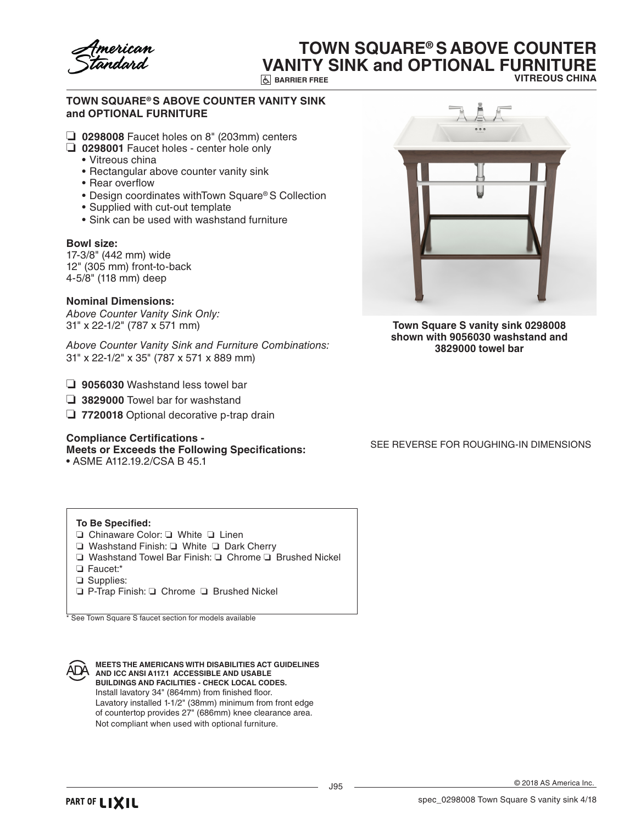

# **TOWN SQUARE® S ABOVE COUNTER VANITY SINK and OPTIONAL FURNITURE**

**BARRIER FREE**

**VITREOUS CHINA**

## **TOWN SQUARE® S ABOVE COUNTER VANITY SINK and OPTIONAL FURNITURE**

- ❏ **0298008** Faucet holes on 8" (203mm) centers
- ❏ **0298001** Faucet holes center hole only
	- • Vitreous china
	- Rectangular above counter vanity sink
	- Rear overflow
	- Design coordinates withTown Square® S Collection
	- Supplied with cut-out template
	- Sink can be used with washstand furniture

#### **Bowl size:**

17-3/8" (442 mm) wide 12" (305 mm) front-to-back 4-5/8" (118 mm) deep

### **Nominal Dimensions:**

*Above Counter Vanity Sink Only:* 31" x 22-1/2" (787 x 571 mm)

*Above Counter Vanity Sink and Furniture Combinations:* 31" x 22-1/2" x 35" (787 x 571 x 889 mm)

- ❏ **9056030** Washstand less towel bar
- ❏ **3829000** Towel bar for washstand
- ❏ **7720018** Optional decorative p-trap drain

## **Compliance Certifications -**

# **Meets or Exceeds the Following Specifications:**

• ASME A112.19.2/CSA B 45.1



**Town Square S vanity sink 0298008 shown with 9056030 washstand and 3829000 towel bar**

SEE REVERSE FOR ROUGHING-IN DIMENSIONS

### **To Be Specified:**

- ❏ Chinaware Color: ❏ White ❏ Linen
- ❏ Washstand Finish: ❏ White ❏ Dark Cherry
- ❏ Washstand Towel Bar Finish: ❏ Chrome ❏ Brushed Nickel
- ❏ Faucet:\*
- ❏ Supplies:
- ❏ P-Trap Finish: ❏ Chrome ❏ Brushed Nickel

See Town Square S faucet section for models available

**MEETS THE AMERICANS WITH DISABILITIES ACT GUIDELINES ADA** AND ICC ANSI A117.1 ACCESSIBLE AND USABLE **BUILDINGS AND FACILITIES - CHECK LOCAL CODES.** Install lavatory 34" (864mm) from finished floor. Lavatory installed 1-1/2" (38mm) minimum from front edge of countertop provides 27" (686mm) knee clearance area. Not compliant when used with optional furniture.